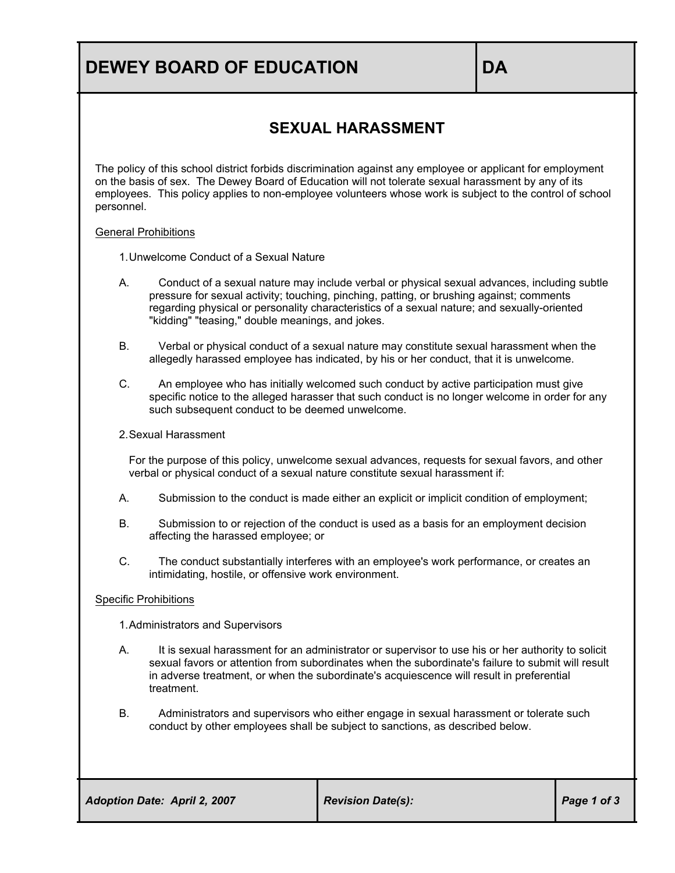# **DEWEY BOARD OF EDUCATION DEWEY BOARD**

### **SEXUAL HARASSMENT**

The policy of this school district forbids discrimination against any employee or applicant for employment on the basis of sex. The Dewey Board of Education will not tolerate sexual harassment by any of its employees. This policy applies to non-employee volunteers whose work is subject to the control of school personnel.

#### General Prohibitions

1.Unwelcome Conduct of a Sexual Nature

- A. Conduct of a sexual nature may include verbal or physical sexual advances, including subtle pressure for sexual activity; touching, pinching, patting, or brushing against; comments regarding physical or personality characteristics of a sexual nature; and sexually-oriented "kidding" "teasing," double meanings, and jokes.
- B. Verbal or physical conduct of a sexual nature may constitute sexual harassment when the allegedly harassed employee has indicated, by his or her conduct, that it is unwelcome.
- C. An employee who has initially welcomed such conduct by active participation must give specific notice to the alleged harasser that such conduct is no longer welcome in order for any such subsequent conduct to be deemed unwelcome.

#### 2.Sexual Harassment

For the purpose of this policy, unwelcome sexual advances, requests for sexual favors, and other verbal or physical conduct of a sexual nature constitute sexual harassment if:

- A. Submission to the conduct is made either an explicit or implicit condition of employment;
- B. Submission to or rejection of the conduct is used as a basis for an employment decision affecting the harassed employee; or
- C. The conduct substantially interferes with an employee's work performance, or creates an intimidating, hostile, or offensive work environment.

#### Specific Prohibitions

1.Administrators and Supervisors

- A. It is sexual harassment for an administrator or supervisor to use his or her authority to solicit sexual favors or attention from subordinates when the subordinate's failure to submit will result in adverse treatment, or when the subordinate's acquiescence will result in preferential treatment.
- B. Administrators and supervisors who either engage in sexual harassment or tolerate such conduct by other employees shall be subject to sanctions, as described below.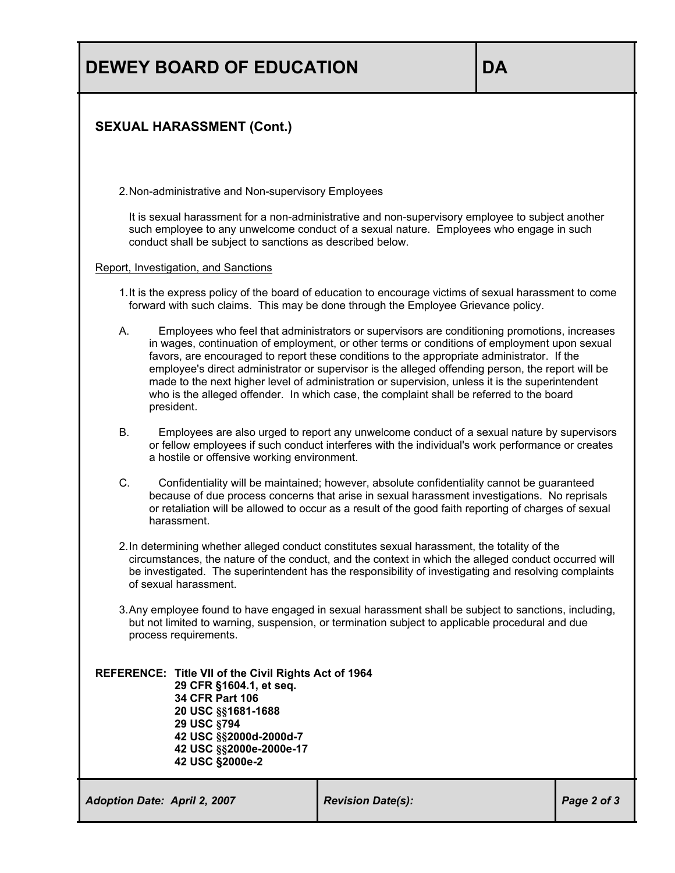### **SEXUAL HARASSMENT (Cont.)**

2.Non-administrative and Non-supervisory Employees

It is sexual harassment for a non-administrative and non-supervisory employee to subject another such employee to any unwelcome conduct of a sexual nature. Employees who engage in such conduct shall be subject to sanctions as described below.

#### Report, Investigation, and Sanctions

- 1.It is the express policy of the board of education to encourage victims of sexual harassment to come forward with such claims. This may be done through the Employee Grievance policy.
- A. Employees who feel that administrators or supervisors are conditioning promotions, increases in wages, continuation of employment, or other terms or conditions of employment upon sexual favors, are encouraged to report these conditions to the appropriate administrator. If the employee's direct administrator or supervisor is the alleged offending person, the report will be made to the next higher level of administration or supervision, unless it is the superintendent who is the alleged offender. In which case, the complaint shall be referred to the board president.
- B. Employees are also urged to report any unwelcome conduct of a sexual nature by supervisors or fellow employees if such conduct interferes with the individual's work performance or creates a hostile or offensive working environment.
- C. Confidentiality will be maintained; however, absolute confidentiality cannot be guaranteed because of due process concerns that arise in sexual harassment investigations. No reprisals or retaliation will be allowed to occur as a result of the good faith reporting of charges of sexual harassment.
- 2.In determining whether alleged conduct constitutes sexual harassment, the totality of the circumstances, the nature of the conduct, and the context in which the alleged conduct occurred will be investigated. The superintendent has the responsibility of investigating and resolving complaints of sexual harassment.
- 3.Any employee found to have engaged in sexual harassment shall be subject to sanctions, including, but not limited to warning, suspension, or termination subject to applicable procedural and due process requirements.

**REFERENCE: Title VII of the Civil Rights Act of 1964 29 CFR §1604.1, et seq. 34 CFR Part 106 20 USC §§1681-1688 29 USC §794 42 USC §§2000d-2000d-7 42 USC §§2000e-2000e-17 42 USC §2000e-2**